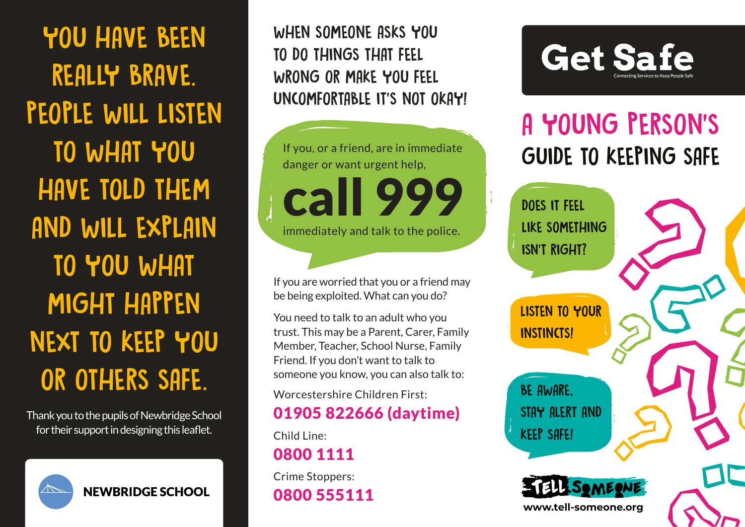YOU HAVE BEEN REALLY BRAVE. PEOPLE WILL LISTEN TO WHAT YOU HAVE TOLD THEM AND WILL EXPLAIN TO YOU WHAT MIGHT HAPPEN NEXT TO KEEP YOU OR OTHERS SAFE.

Thank you to the pupils of Newbridge School for their support in designing this leaflet.



WHEN SOMEONE ASKS YOU TO DO THINGS THAT FEEL WRONG OR MAKE YOU FEEL UNCOMFORTABLE IT'S NOT OKAY!



If you are worried that you or a friend may be being exploited. What can you do?

You need to talk to an adult who you trust. This may be a Parent, Carer, Family Member, Teacher, School Nurse, Family Friend. If you don't want to talk to someone you know, you can also talk to:

Worcestershire Children First:

#### 01905 822666 (daytime)

Child Line: 0800 1111

Crime Stoppers: 0800 555111



# A YOUNG PERSON'S GUIDE TO KEEPING SAFE

DOES IT FEEL LIKE SOMETHING ISN'T RIGHT?

LISTEN TO YOUR **INSTINCTS!** 

BE AWARE, STAY ALERT AND KEEP SAFE!